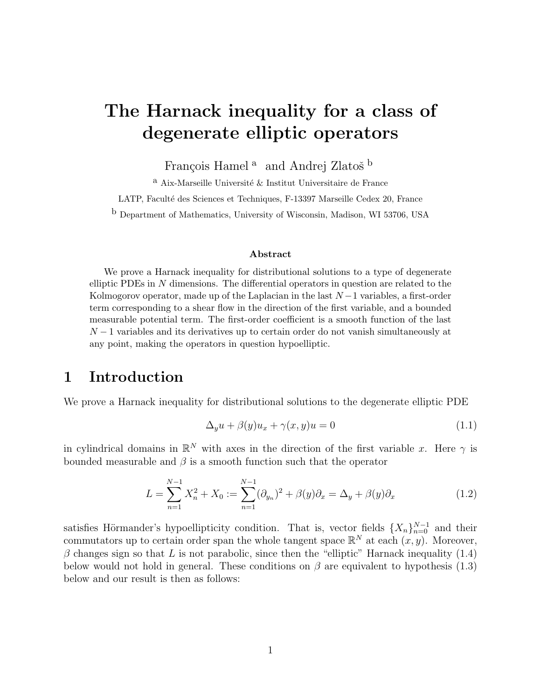# The Harnack inequality for a class of degenerate elliptic operators

François Hamel<sup>a</sup> and Andrej Zlatoš<sup>b</sup>

 $^{\rm a}$ Aix-Marseille Université & Institut Universitaire de France

LATP, Faculté des Sciences et Techniques, F-13397 Marseille Cedex 20, France

b Department of Mathematics, University of Wisconsin, Madison, WI 53706, USA

#### Abstract

We prove a Harnack inequality for distributional solutions to a type of degenerate elliptic PDEs in N dimensions. The differential operators in question are related to the Kolmogorov operator, made up of the Laplacian in the last  $N-1$  variables, a first-order term corresponding to a shear flow in the direction of the first variable, and a bounded measurable potential term. The first-order coefficient is a smooth function of the last  $N-1$  variables and its derivatives up to certain order do not vanish simultaneously at any point, making the operators in question hypoelliptic.

### 1 Introduction

We prove a Harnack inequality for distributional solutions to the degenerate elliptic PDE

$$
\Delta_y u + \beta(y) u_x + \gamma(x, y) u = 0 \tag{1.1}
$$

in cylindrical domains in  $\mathbb{R}^N$  with axes in the direction of the first variable x. Here  $\gamma$  is bounded measurable and  $\beta$  is a smooth function such that the operator

$$
L = \sum_{n=1}^{N-1} X_n^2 + X_0 := \sum_{n=1}^{N-1} (\partial_{y_n})^2 + \beta(y)\partial_x = \Delta_y + \beta(y)\partial_x
$$
 (1.2)

satisfies Hörmander's hypoellipticity condition. That is, vector fields  $\{X_n\}_{n=0}^{N-1}$  and their commutators up to certain order span the whole tangent space  $\mathbb{R}^N$  at each  $(x, y)$ . Moreover,  $\beta$  changes sign so that L is not parabolic, since then the "elliptic" Harnack inequality (1.4) below would not hold in general. These conditions on  $\beta$  are equivalent to hypothesis (1.3) below and our result is then as follows: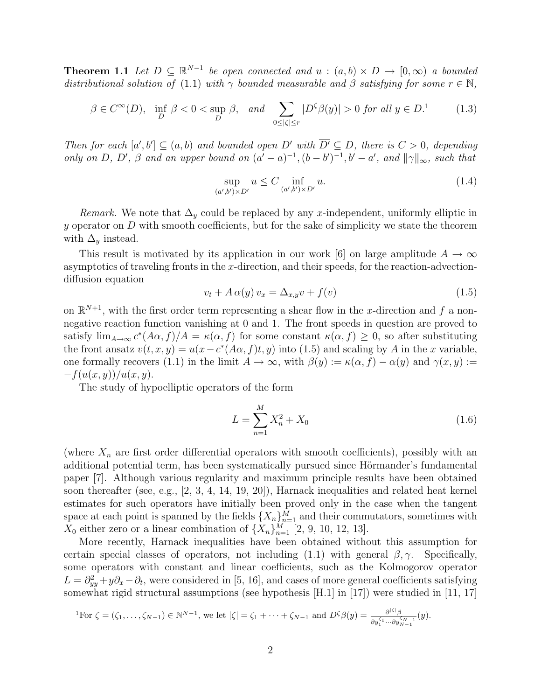**Theorem 1.1** Let  $D \subseteq \mathbb{R}^{N-1}$  be open connected and  $u : (a, b) \times D \rightarrow [0, \infty)$  a bounded distributional solution of (1.1) with  $\gamma$  bounded measurable and  $\beta$  satisfying for some  $r \in \mathbb{N}$ ,

$$
\beta \in C^{\infty}(D), \quad \inf_{D} \beta < 0 < \sup_{D} \beta, \quad \text{and} \quad \sum_{0 \leq |\zeta| \leq r} |D^{\zeta}\beta(y)| > 0 \text{ for all } y \in D.^{1} \tag{1.3}
$$

Then for each  $[a',b'] \subseteq (a,b)$  and bounded open D' with  $\overline{D'} \subseteq D$ , there is  $C > 0$ , depending only on D, D',  $\beta$  and an upper bound on  $(a'-a)^{-1}$ ,  $(b-b')^{-1}$ ,  $b'-a'$ , and  $||\gamma||_{\infty}$ , such that

$$
\sup_{(a',b')\times D'} u \le C \inf_{(a',b')\times D'} u.
$$
\n(1.4)

Remark. We note that  $\Delta_y$  could be replaced by any x-independent, uniformly elliptic in y operator on  $D$  with smooth coefficients, but for the sake of simplicity we state the theorem with  $\Delta_y$  instead.

This result is motivated by its application in our work [6] on large amplitude  $A \to \infty$ asymptotics of traveling fronts in the  $x$ -direction, and their speeds, for the reaction-advectiondiffusion equation

$$
v_t + A\alpha(y)v_x = \Delta_{x,y}v + f(v)
$$
\n(1.5)

on  $\mathbb{R}^{N+1}$ , with the first order term representing a shear flow in the x-direction and f a nonnegative reaction function vanishing at 0 and 1. The front speeds in question are proved to satisfy  $\lim_{A\to\infty} c^*(A\alpha, f)/A = \kappa(\alpha, f)$  for some constant  $\kappa(\alpha, f) \geq 0$ , so after substituting the front ansatz  $v(t, x, y) = u(x - c^*(A\alpha, f)t, y)$  into (1.5) and scaling by A in the x variable, one formally recovers (1.1) in the limit  $A \to \infty$ , with  $\beta(y) := \kappa(\alpha, f) - \alpha(y)$  and  $\gamma(x, y) :=$  $-f(u(x, y))/u(x, y).$ 

The study of hypoelliptic operators of the form

$$
L = \sum_{n=1}^{M} X_n^2 + X_0 \tag{1.6}
$$

(where  $X_n$  are first order differential operators with smooth coefficients), possibly with an additional potential term, has been systematically pursued since Hörmander's fundamental paper [7]. Although various regularity and maximum principle results have been obtained soon thereafter (see, e.g., [2, 3, 4, 14, 19, 20]), Harnack inequalities and related heat kernel estimates for such operators have initially been proved only in the case when the tangent space at each point is spanned by the fields  $\{X_n\}_{n=1}^M$  and their commutators, sometimes with  $X_0$  either zero or a linear combination of  $\{X_n\}_{n=1}^M$  [2, 9, 10, 12, 13].

More recently, Harnack inequalities have been obtained without this assumption for certain special classes of operators, not including (1.1) with general  $\beta$ ,  $\gamma$ . Specifically, some operators with constant and linear coefficients, such as the Kolmogorov operator  $L = \partial_{yy}^2 + y\partial_x - \partial_t$ , were considered in [5, 16], and cases of more general coefficients satisfying somewhat rigid structural assumptions (see hypothesis [H.1] in [17]) were studied in [11, 17]

$$
{}^{1}\text{For }\zeta=(\zeta_{1},\ldots,\zeta_{N-1})\in\mathbb{N}^{N-1}, \text{ we let }|\zeta|=\zeta_{1}+\cdots+\zeta_{N-1} \text{ and } D^{\zeta}\beta(y)=\frac{\partial^{|\zeta|}\beta}{\partial y_{1}^{\zeta_{1}}\cdots\partial y_{N-1}^{\zeta_{N-1}}}(y).
$$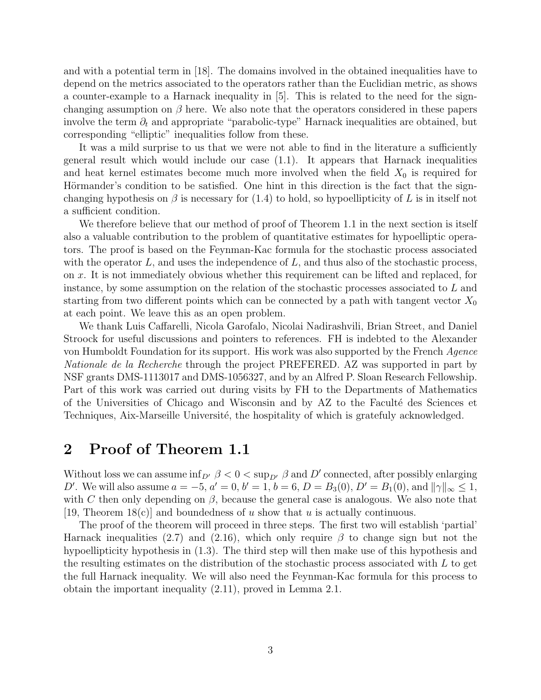and with a potential term in [18]. The domains involved in the obtained inequalities have to depend on the metrics associated to the operators rather than the Euclidian metric, as shows a counter-example to a Harnack inequality in [5]. This is related to the need for the signchanging assumption on  $\beta$  here. We also note that the operators considered in these papers involve the term  $\partial_t$  and appropriate "parabolic-type" Harnack inequalities are obtained, but corresponding "elliptic" inequalities follow from these.

It was a mild surprise to us that we were not able to find in the literature a sufficiently general result which would include our case (1.1). It appears that Harnack inequalities and heat kernel estimates become much more involved when the field  $X_0$  is required for Hörmander's condition to be satisfied. One hint in this direction is the fact that the signchanging hypothesis on  $\beta$  is necessary for (1.4) to hold, so hypoellipticity of L is in itself not a sufficient condition.

We therefore believe that our method of proof of Theorem 1.1 in the next section is itself also a valuable contribution to the problem of quantitative estimates for hypoelliptic operators. The proof is based on the Feynman-Kac formula for the stochastic process associated with the operator  $L$ , and uses the independence of  $L$ , and thus also of the stochastic process, on x. It is not immediately obvious whether this requirement can be lifted and replaced, for instance, by some assumption on the relation of the stochastic processes associated to L and starting from two different points which can be connected by a path with tangent vector  $X_0$ at each point. We leave this as an open problem.

We thank Luis Caffarelli, Nicola Garofalo, Nicolai Nadirashvili, Brian Street, and Daniel Stroock for useful discussions and pointers to references. FH is indebted to the Alexander von Humboldt Foundation for its support. His work was also supported by the French Agence Nationale de la Recherche through the project PREFERED. AZ was supported in part by NSF grants DMS-1113017 and DMS-1056327, and by an Alfred P. Sloan Research Fellowship. Part of this work was carried out during visits by FH to the Departments of Mathematics of the Universities of Chicago and Wisconsin and by  $\overline{AZ}$  to the Faculté des Sciences et Techniques, Aix-Marseille Université, the hospitality of which is gratefuly acknowledged.

#### 2 Proof of Theorem 1.1

Without loss we can assume  $\inf_{D'} \beta < 0 < \sup_{D'} \beta$  and  $D'$  connected, after possibly enlarging D'. We will also assume  $a = -5$ ,  $a' = 0$ ,  $b' = 1$ ,  $b = 6$ ,  $D = B_3(0)$ ,  $D' = B_1(0)$ , and  $||\gamma||_{\infty} \le 1$ , with C then only depending on  $\beta$ , because the general case is analogous. We also note that [19, Theorem 18(c)] and boundedness of u show that u is actually continuous.

The proof of the theorem will proceed in three steps. The first two will establish 'partial' Harnack inequalities (2.7) and (2.16), which only require  $\beta$  to change sign but not the hypoellipticity hypothesis in (1.3). The third step will then make use of this hypothesis and the resulting estimates on the distribution of the stochastic process associated with  $L$  to get the full Harnack inequality. We will also need the Feynman-Kac formula for this process to obtain the important inequality (2.11), proved in Lemma 2.1.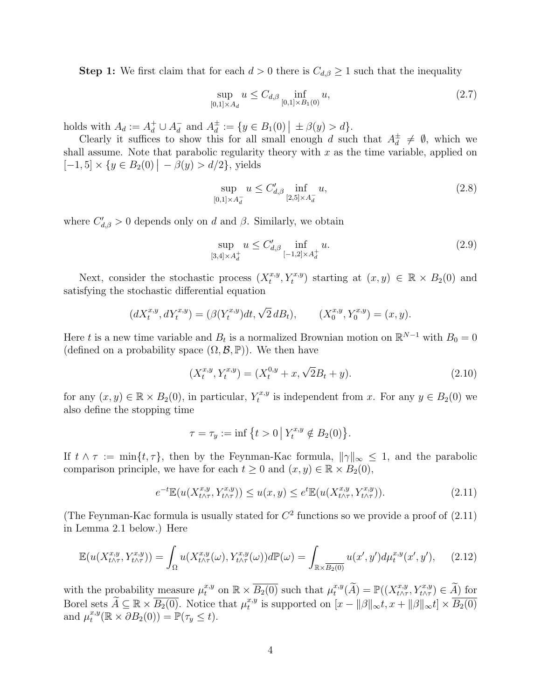**Step 1:** We first claim that for each  $d > 0$  there is  $C_{d,\beta} \geq 1$  such that the inequality

$$
\sup_{[0,1]\times A_d} u \le C_{d,\beta} \inf_{[0,1]\times B_1(0)} u,\tag{2.7}
$$

holds with  $A_d := A_d^+ \cup A_d^ \frac{1}{d}$  and  $A_d^{\pm}$  $\frac{1}{d} := \{ y \in B_1(0) \mid \pm \beta(y) > d \}.$ 

Clearly it suffices to show this for all small enough d such that  $A_d^{\pm}$  $\frac{1}{d} \neq \emptyset$ , which we shall assume. Note that parabolic regularity theory with  $x$  as the time variable, applied on  $[-1, 5] \times \{y \in B_2(0) | -\beta(y) > d/2\},\$  yields

$$
\sup_{[0,1]\times A_d^-} u \le C'_{d,\beta} \inf_{[2,5]\times A_d^-} u,\tag{2.8}
$$

where  $C'_{d,\beta} > 0$  depends only on d and  $\beta$ . Similarly, we obtain

$$
\sup_{[3,4] \times A_d^+} u \le C'_{d,\beta} \inf_{[-1,2] \times A_d^+} u.
$$
\n(2.9)

Next, consider the stochastic process  $(X_t^{x,y})$  $(t_t^{x,y}, Y_t^{x,y})$  starting at  $(x, y) \in \mathbb{R} \times B_2(0)$  and satisfying the stochastic differential equation

$$
(dX_t^{x,y}, dY_t^{x,y}) = (\beta(Y_t^{x,y})dt, \sqrt{2} dB_t), \qquad (X_0^{x,y}, Y_0^{x,y}) = (x, y).
$$

Here t is a new time variable and  $B_t$  is a normalized Brownian motion on  $\mathbb{R}^{N-1}$  with  $B_0 = 0$ (defined on a probability space  $(\Omega, \mathcal{B}, \mathbb{P})$ ). We then have

$$
(X_t^{x,y}, Y_t^{x,y}) = (X_t^{0,y} + x, \sqrt{2}B_t + y).
$$
\n(2.10)

for any  $(x, y) \in \mathbb{R} \times B_2(0)$ , in particular,  $Y_t^{x,y}$  $t^{x,y}$  is independent from x. For any  $y \in B_2(0)$  we also define the stopping time

$$
\tau = \tau_y := \inf \{ t > 0 \, \big| \, Y_t^{x,y} \notin B_2(0) \}.
$$

If  $t \wedge \tau := \min\{t, \tau\}$ , then by the Feynman-Kac formula,  $\|\gamma\|_{\infty} \leq 1$ , and the parabolic comparison principle, we have for each  $t \geq 0$  and  $(x, y) \in \mathbb{R} \times B_2(0)$ ,

$$
e^{-t}\mathbb{E}(u(X^{x,y}_{t\wedge\tau},Y^{x,y}_{t\wedge\tau})) \le u(x,y) \le e^{t}\mathbb{E}(u(X^{x,y}_{t\wedge\tau},Y^{x,y}_{t\wedge\tau})).\tag{2.11}
$$

(The Feynman-Kac formula is usually stated for  $C<sup>2</sup>$  functions so we provide a proof of  $(2.11)$ ) in Lemma 2.1 below.) Here

$$
\mathbb{E}(u(X_{t\wedge\tau}^{x,y}, Y_{t\wedge\tau}^{x,y})) = \int_{\Omega} u(X_{t\wedge\tau}^{x,y}(\omega), Y_{t\wedge\tau}^{x,y}(\omega))d\mathbb{P}(\omega) = \int_{\mathbb{R}\times\overline{B_2(0)}} u(x',y')d\mu_t^{x,y}(x',y'),\qquad(2.12)
$$

with the probability measure  $\mu_t^{x,y}$  on  $\mathbb{R} \times \overline{B_2(0)}$  such that  $\mu_t^{x,y}$  $\mathcal{L}^{x,y}_t(\widetilde{A}) = \mathbb{P}((X^{x,y}_{t \wedge \tau})$  $(x,y,\ Y^{x,y}_{t\wedge \tau})\in \widetilde{A}$  for Borel sets  $\widetilde{A} \subseteq \mathbb{R} \times \overline{B_2(0)}$ . Notice that  $\mu_t^{x,y}$  $t_t^{x,y}$  is supported on  $[x - ||\beta||_{\infty} t, x + ||\beta||_{\infty} t] \times B_2(0)$ and  $\mu_t^{x,y}$  $t^{x,y}_t(\mathbb{R} \times \partial B_2(0)) = \mathbb{P}(\tau_y \leq t).$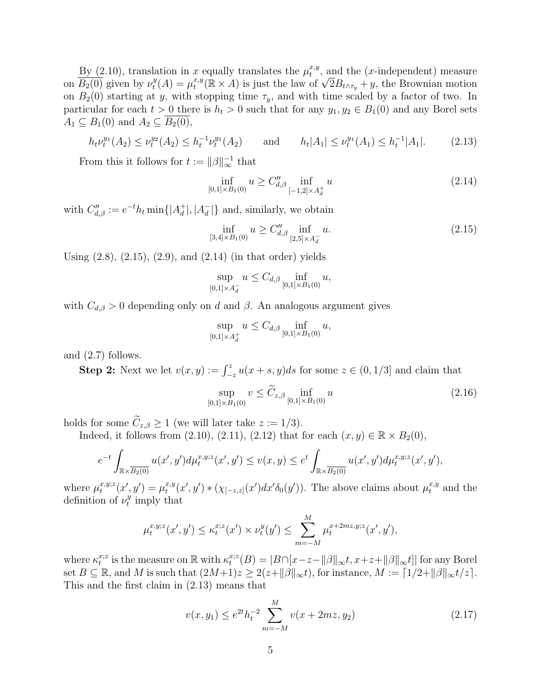By (2.10), translation in x equally translates the  $\mu_t^{x,y}$  $_t^{x,y}$ , and the (*x*-independent) measure on  $\overline{B_2(0)}$  given by  $\nu_t^y$  $t^{y}(A) = \mu^{x,y}_{t}$ x equally translates the  $\mu_t^{\nu}$ , and the (x-independent) measure  $\mu_t^{x,y}(\mathbb{R} \times A)$  is just the law of  $\sqrt{2}B_{t \wedge \tau_y} + y$ , the Brownian motion on  $B_2(0)$  starting at y, with stopping time  $\tau_y$ , and with time scaled by a factor of two. In particular for each  $t > 0$  there is  $h_t > 0$  such that for any  $y_1, y_2 \in B_1(0)$  and any Borel sets  $A_1 \subseteq B_1(0)$  and  $A_2 \subseteq B_2(0)$ ,

$$
h_t \nu_t^{y_1}(A_2) \le \nu_t^{y_2}(A_2) \le h_t^{-1} \nu_t^{y_1}(A_2) \quad \text{and} \quad h_t |A_1| \le \nu_t^{y_1}(A_1) \le h_t^{-1} |A_1|.
$$
 (2.13)

From this it follows for  $t := ||\beta||_{\infty}^{-1}$  that

$$
\inf_{[0,1]\times B_1(0)} u \ge C''_{d,\beta} \inf_{[-1,2]\times A_d^+} u \tag{2.14}
$$

with  $C''_{d,\beta} := e^{-t}h_t \min\{|A_d^+|$  $\frac{1}{d}$ ,  $|A_d^ \left\{\frac{-}{d}\right\}$  and, similarly, we obtain

$$
\inf_{[3,4]\times B_1(0)} u \ge C''_{d,\beta} \inf_{[2,5]\times A_d^-} u. \tag{2.15}
$$

Using  $(2.8)$ ,  $(2.15)$ ,  $(2.9)$ , and  $(2.14)$  (in that order) yields

$$
\sup_{[0,1] \times A_d^-} u \le C_{d,\beta} \inf_{[0,1] \times B_1(0)} u,
$$

with  $C_{d,\beta} > 0$  depending only on d and  $\beta$ . An analogous argument gives

$$
\sup_{[0,1]\times A_d^+} u \le C_{d,\beta} \inf_{[0,1]\times B_1(0)} u,
$$

and (2.7) follows.

**Step 2:** Next we let  $v(x, y) := \int_{-z}^{z} u(x + s, y)ds$  for some  $z \in (0, 1/3]$  and claim that

$$
\sup_{[0,1]\times B_1(0)} v \le \widetilde{C}_{z,\beta} \inf_{[0,1]\times B_1(0)} u \tag{2.16}
$$

holds for some  $\widetilde{C}_{z,\beta} \ge 1$  (we will later take  $z := 1/3$ ).

Indeed, it follows from (2.10), (2.11), (2.12) that for each  $(x, y) \in \mathbb{R} \times B_2(0)$ ,

$$
e^{-t} \int_{\mathbb{R} \times \overline{B_2(0)}} u(x',y') d\mu_t^{x,y,z}(x',y') \le v(x,y) \le e^t \int_{\mathbb{R} \times \overline{B_2(0)}} u(x',y') d\mu_t^{x,y,z}(x',y'),
$$

where  $\mu_t^{x,y;z}$  $f_t^{x,y;z}(x',y') = \mu_t^{x,y}$  $t^{x,y}(x',y') * (\chi_{[-z,z]}(x')dx'\delta_0(y'))$ . The above claims about  $\mu_t^{x,y}$  and the definition of  $\nu_t^y$  $t<sup>y</sup>$  imply that

$$
\mu_t^{x,y,z}(x',y') \le \kappa_t^{x,z}(x') \times \nu_t^y(y') \le \sum_{m=-M}^M \mu_t^{x+2mz,y,z}(x',y'),
$$

where  $\kappa_t^{x;z}$  $t_i^{x;z}$  is the measure on  $\mathbb R$  with  $\kappa_t^{x;z}$  $t^{x;z}(B) = |B \cap [x-z-||\beta||_{\infty}t, x+z+||\beta||_{\infty}t]|$  for any Borel set  $B \subseteq \mathbb{R}$ , and M is such that  $(2M+1)z \geq 2(z+\|\beta\|_{\infty}t)$ , for instance,  $M := \lfloor 1/2+\|\beta\|_{\infty}t/z\rfloor$ . This and the first claim in (2.13) means that

$$
v(x, y_1) \le e^{2t} h_t^{-2} \sum_{m=-M}^{M} v(x + 2mz, y_2)
$$
 (2.17)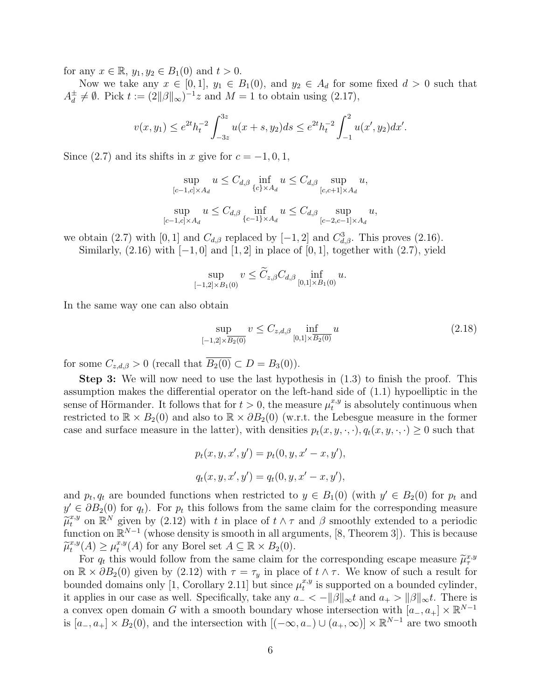for any  $x \in \mathbb{R}$ ,  $y_1, y_2 \in B_1(0)$  and  $t > 0$ .

Now we take any  $x \in [0,1], y_1 \in B_1(0)$ , and  $y_2 \in A_d$  for some fixed  $d > 0$  such that  $A_d^{\pm}$  $\frac{d}{d} \neq \emptyset$ . Pick  $t := (2||\beta||_{\infty})^{-1}z$  and  $M = 1$  to obtain using  $(2.17)$ ,

$$
v(x,y_1) \le e^{2t} h_t^{-2} \int_{-3z}^{3z} u(x+s,y_2) ds \le e^{2t} h_t^{-2} \int_{-1}^2 u(x',y_2) dx'.
$$

Since (2.7) and its shifts in x give for  $c = -1, 0, 1$ ,

$$
\sup_{[c-1,c] \times A_d} u \leq C_{d,\beta} \inf_{\{c\} \times A_d} u \leq C_{d,\beta} \sup_{[c,c+1] \times A_d} u,
$$
  
\n
$$
\sup_{[c-1,c] \times A_d} u \leq C_{d,\beta} \inf_{\{c-1\} \times A_d} u \leq C_{d,\beta} \sup_{[c-2,c-1] \times A_d} u,
$$

we obtain (2.7) with [0, 1] and  $C_{d,\beta}$  replaced by [-1, 2] and  $C_{d,\beta}^3$ . This proves (2.16).

Similarly,  $(2.16)$  with  $[-1, 0]$  and  $[1, 2]$  in place of  $[0, 1]$ , together with  $(2.7)$ , yield

$$
\sup_{[-1,2]\times B_1(0)} v \le \widetilde{C}_{z,\beta} C_{d,\beta} \inf_{[0,1]\times B_1(0)} u.
$$

In the same way one can also obtain

$$
\sup_{[-1,2]\times\overline{B_2(0)}} v \le C_{z,d,\beta} \inf_{[0,1]\times\overline{B_2(0)}} u
$$
\n(2.18)

for some  $C_{z,d,\beta} > 0$  (recall that  $\overline{B_2(0)} \subset D = B_3(0)$ ).

Step 3: We will now need to use the last hypothesis in (1.3) to finish the proof. This assumption makes the differential operator on the left-hand side of (1.1) hypoelliptic in the sense of Hörmander. It follows that for  $t > 0$ , the measure  $\mu_t^{x,y}$  $_t^{x,y}$  is absolutely continuous when restricted to  $\mathbb{R} \times B_2(0)$  and also to  $\mathbb{R} \times \partial B_2(0)$  (w.r.t. the Lebesgue measure in the former case and surface measure in the latter), with densities  $p_t(x, y, \cdot, \cdot)$ ,  $q_t(x, y, \cdot, \cdot) \geq 0$  such that

$$
p_t(x, y, x', y') = p_t(0, y, x' - x, y'),
$$
  

$$
q_t(x, y, x', y') = q_t(0, y, x' - x, y'),
$$

and  $p_t, q_t$  are bounded functions when restricted to  $y \in B_1(0)$  (with  $y' \in B_2(0)$  for  $p_t$  and  $y' \in \partial B_2(0)$  for  $q_t$ ). For  $p_t$  this follows from the same claim for the corresponding measure  $\widetilde{\mu}_t^{x,y}$  on  $\mathbb{R}^N$  given by (2.12) with t in place of  $t \wedge \tau$  and  $\beta$  smoothly extended to a periodic function on  $\mathbb{R}^{N-1}$  (whose density is smooth in all arguments [8] Theorem 3]). This is because function on  $\mathbb{R}^{N-1}$  (whose density is smooth in all arguments, [8, Theorem 3]). This is because  $\widetilde{\mu}^{x,y}_t$  $t^{x,y}(A) \geq \mu_t^{x,y}$  $t^{x,y}(A)$  for any Borel set  $A \subseteq \mathbb{R} \times B_2(0)$ .

For  $q_t$  this would follow from the same claim for the corresponding escape measure  $\tilde{\mu}^{x,y}_{\tau}$ <br> $\mathbb{R} \times \partial B_{\tau}(0)$  given by (2.12) with  $\tau = \tau$  in place of  $t \wedge \tau$ . We know of such a result for on  $\mathbb{R} \times \partial B_2(0)$  given by (2.12) with  $\tau = \tau_y$  in place of  $t \wedge \tau$ . We know of such a result for bounded domains only [1, Corollary 2.11] but since  $\mu_t^{x,y}$  $_t^{x,y}$  is supported on a bounded cylinder, it applies in our case as well. Specifically, take any  $a_- < -||\beta||_{\infty}t$  and  $a_+ > ||\beta||_{\infty}t$ . There is a convex open domain G with a smooth boundary whose intersection with  $[a_-, a_+] \times \mathbb{R}^{N-1}$ is  $[a_-, a_+] \times B_2(0)$ , and the intersection with  $[(-\infty, a_-) \cup (a_+, \infty)] \times \mathbb{R}^{N-1}$  are two smooth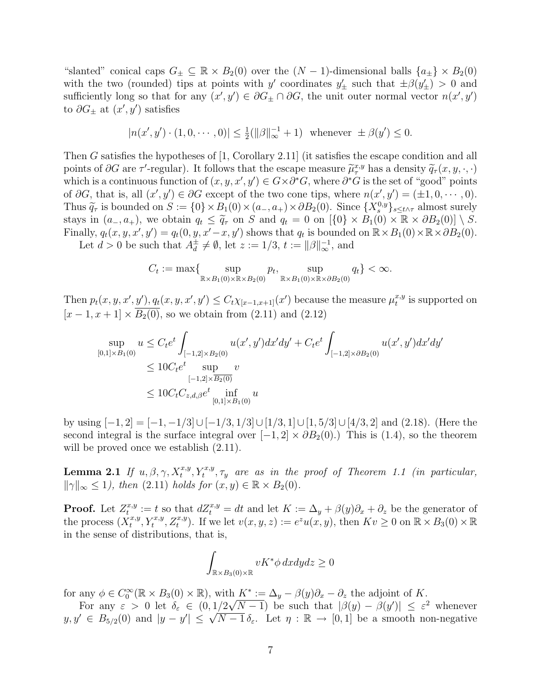"slanted" conical caps  $G_{\pm} \subseteq \mathbb{R} \times B_2(0)$  over the  $(N-1)$ -dimensional balls  $\{a_{\pm}\} \times B_2(0)$ with the two (rounded) tips at points with y' coordinates  $y'_{\pm}$  such that  $\pm \beta(y'_{\pm}) > 0$  and sufficiently long so that for any  $(x', y') \in \partial G$   $\perp \cap \partial G$ , the unit outer normal vector  $n(x', y')$ to  $\partial G_{\pm}$  at  $(x', y')$  satisfies

$$
|n(x', y') \cdot (1, 0, \dots, 0)| \le \frac{1}{2}(\|\beta\|_{\infty}^{-1} + 1) \quad \text{whenever} \quad \pm \beta(y') \le 0.
$$

Then G satisfies the hypotheses of [1, Corollary 2.11] (it satisfies the escape condition and all points of ∂G are  $\tau'$ -regular). It follows that the escape measure  $\tilde{\mu}^{x,y}_{\tau}$  has a density  $\tilde{q}_{\tau}(x, y, \cdot, \cdot)$ <br>which is a continuous function of  $(x, y, x', y') \in C \times \partial^* C$ , where  $\partial^* C$  is the set of "xood" points which is a continuous function of  $(x, y, x', y') \in G \times \partial^*G$ , where  $\partial^*G$  is the set of "good" points of  $\partial G$ , that is, all  $(x', y') \in \partial G$  except of the two cone tips, where  $n(x', y') = (\pm 1, 0, \dots, 0)$ . Thus  $\widetilde{q}_{\tau}$  is bounded on  $S := \{0\} \times B_1(0) \times (a_-, a_+) \times \partial B_2(0)$ . Since  $\{X_s^{0,y}\}_{s \leq t \wedge \tau}$  almost surely<br>stays in  $(a_-, a_-)$ , we obtain  $a_+ \leq \widetilde{a}_-$  on  $S$  and  $a_- = 0$  on  $[(0] \times B_1(0) \times \mathbb{R} \times \partial B_1(0)] \times S$ stays in  $(a_-, a_+)$ , we obtain  $q_t \leq \tilde{q}_\tau$  on S and  $q_t = 0$  on  $[\{0\} \times B_1(0) \times \mathbb{R} \times \partial B_2(0)] \setminus S$ . Finally,  $q_t(x, y, x', y') = q_t(0, y, x'-x, y')$  shows that  $q_t$  is bounded on  $\mathbb{R} \times B_1(0) \times \mathbb{R} \times \partial B_2(0)$ .

Let  $d > 0$  be such that  $A_d^{\pm}$  $\frac{1}{d} \neq \emptyset$ , let  $z := 1/3$ ,  $t := ||\beta||_{\infty}^{-1}$ , and

$$
C_t := \max\{\sup_{\mathbb{R} \times B_1(0) \times \mathbb{R} \times B_2(0)} p_t, \sup_{\mathbb{R} \times B_1(0) \times \mathbb{R} \times \partial B_2(0)} q_t\} < \infty.
$$

Then  $p_t(x, y, x', y'), q_t(x, y, x', y') \leq C_t \chi_{[x-1,x+1]}(x')$  because the measure  $\mu_t^{x,y}$  $_t^{x,y}$  is supported on  $[x-1, x+1] \times \overline{B_2(0)}$ , so we obtain from (2.11) and (2.12)

$$
\sup_{[0,1]\times B_1(0)} u \le C_t e^t \int_{[-1,2]\times B_2(0)} u(x',y') dx'dy' + C_t e^t \int_{[-1,2]\times \partial B_2(0)} u(x',y') dx'dy'
$$
  
\n
$$
\le 10C_t e^t \sup_{[-1,2]\times \overline{B_2(0)}} v
$$
  
\n
$$
\le 10C_t C_{z,d,\beta} e^t \inf_{[0,1]\times B_1(0)} u
$$

by using  $[-1, 2] = [-1, -1/3] \cup [-1/3, 1/3] \cup [1/3, 1] \cup [1, 5/3] \cup [4/3, 2]$  and (2.18). (Here the second integral is the surface integral over  $[-1, 2] \times \partial B_2(0)$ .) This is (1.4), so the theorem will be proved once we establish  $(2.11)$ .

**Lemma 2.1** If  $u, \beta, \gamma, X_t^{x,y}, Y_t^{x,y}, \tau_y$  are as in the proof of Theorem 1.1 (in particular,  $\|\gamma\|_{\infty} \leq 1$ , then (2.11) holds for  $(x, y) \in \mathbb{R} \times B_2(0)$ .

**Proof.** Let  $Z_t^{x,y}$  $t^{x,y}_t := t$  so that  $dZ_t^{x,y} = dt$  and let  $K := \Delta_y + \beta(y)\partial_x + \partial_z$  be the generator of the process  $(X_t^{x,y})$  $t^{x,y}, Y_t^{x,y}, Z_t^{x,y}$ . If we let  $v(x, y, z) := e^z u(x, y)$ , then  $Kv \geq 0$  on  $\mathbb{R} \times B_3(0) \times \mathbb{R}$ in the sense of distributions, that is,

$$
\int_{\mathbb{R}\times B_3(0)\times \mathbb{R}} vK^* \phi \, dxdydz \ge 0
$$

for any  $\phi \in C_0^{\infty}(\mathbb{R} \times B_3(0) \times \mathbb{R})$ , with  $K^* := \Delta_y - \beta(y)\partial_x - \partial_z$  the adjoint of K.

For any  $\varepsilon > 0$  let  $\delta_{\varepsilon} \in (0, 1/2\sqrt{N-1})$  be such that  $|\beta(y) - \beta(y')| \leq \varepsilon^2$  whenever For any  $\varepsilon > 0$  let  $o_{\varepsilon} \in (0, 1/2\sqrt{N-1})$  be such that  $|\rho(y) - \rho(y)| \leq \varepsilon$  whenever<br>  $y, y' \in B_{5/2}(0)$  and  $|y - y'| \leq \sqrt{N-1} \delta_{\varepsilon}$ . Let  $\eta : \mathbb{R} \to [0, 1]$  be a smooth non-negative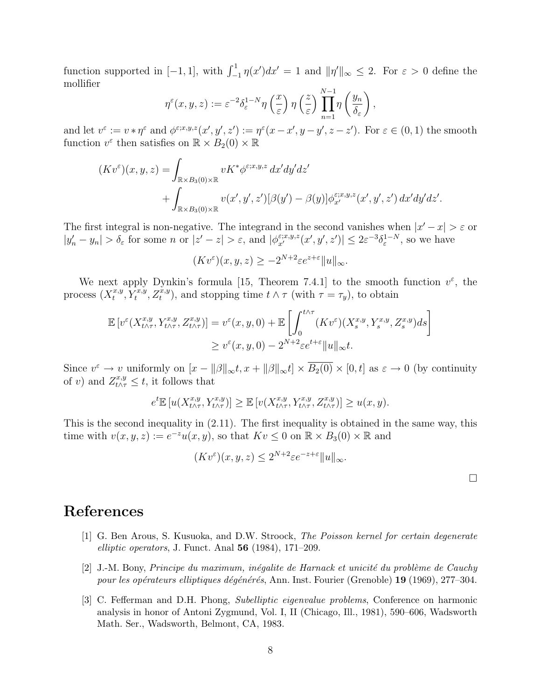function supported in [-1, 1], with  $\int_{-1}^{1} \eta(x') dx' = 1$  and  $\|\eta'\|_{\infty} \leq 2$ . For  $\varepsilon > 0$  define the mollifier

$$
\eta^{\varepsilon}(x, y, z) := \varepsilon^{-2} \delta_{\varepsilon}^{1-N} \eta\left(\frac{x}{\varepsilon}\right) \eta\left(\frac{z}{\varepsilon}\right) \prod_{n=1}^{N-1} \eta\left(\frac{y_n}{\delta_{\varepsilon}}\right),
$$

and let  $v^{\varepsilon} := v * \eta^{\varepsilon}$  and  $\phi^{\varepsilon; x, y, z}(x', y', z') := \eta^{\varepsilon}(x - x', y - y', z - z')$ . For  $\varepsilon \in (0, 1)$  the smooth function  $v^{\varepsilon}$  then satisfies on  $\mathbb{R} \times B_2(0) \times \mathbb{R}$ 

$$
(Kv^{\varepsilon})(x,y,z) = \int_{\mathbb{R}\times B_3(0)\times\mathbb{R}} vK^*\phi^{\varepsilon;x,y,z} dx'dy'dz'
$$
  
+ 
$$
\int_{\mathbb{R}\times B_3(0)\times\mathbb{R}} v(x',y',z')[\beta(y')-\beta(y)]\phi^{\varepsilon;x,y,z}_{x'}(x',y',z') dx'dy'dz'
$$

The first integral is non-negative. The integrand in the second vanishes when  $|x'-x| > \varepsilon$  or  $|y'_n - y_n| > \delta_{\varepsilon}$  for some n or  $|z' - z| > \varepsilon$ , and  $|\phi_{x'}^{\varepsilon; x, y, z}(x', y', z')| \leq 2\varepsilon^{-3} \delta_{\varepsilon}^{1-N}$ , so we have

$$
(Kv^{\varepsilon})(x,y,z) \ge -2^{N+2}\varepsilon e^{z+\varepsilon}||u||_{\infty}.
$$

We next apply Dynkin's formula [15, Theorem 7.4.1] to the smooth function  $v^{\varepsilon}$ , the process  $(X_t^{x,y})$  $t^{x,y}, Y_t^{x,y}, Z_t^{x,y}$ , and stopping time  $t \wedge \tau$  (with  $\tau = \tau_y$ ), to obtain

$$
\mathbb{E}\left[v^{\varepsilon}(X_{t\wedge\tau}^{x,y}, Y_{t\wedge\tau}^{x,y}, Z_{t\wedge\tau}^{x,y})\right] = v^{\varepsilon}(x, y, 0) + \mathbb{E}\left[\int_0^{t\wedge\tau} (Kv^{\varepsilon})(X_s^{x,y}, Y_s^{x,y}, Z_s^{x,y})ds\right]
$$

$$
\geq v^{\varepsilon}(x, y, 0) - 2^{N+2}\varepsilon e^{t+\varepsilon} \|u\|_{\infty} t.
$$

Since  $v^{\varepsilon} \to v$  uniformly on  $[x - ||\beta||_{\infty} t, x + ||\beta||_{\infty} t] \times \overline{B_2(0)} \times [0, t]$  as  $\varepsilon \to 0$  (by continuity of v) and  $Z_{t\wedge\tau}^{x,y} \leq t$ , it follows that

$$
e^t\mathbb{E}\left[u(X^{x,y}_{t\wedge\tau},Y^{x,y}_{t\wedge\tau})\right]\geq \mathbb{E}\left[v(X^{x,y}_{t\wedge\tau},Y^{x,y}_{t\wedge\tau},Z^{x,y}_{t\wedge\tau})\right]\geq u(x,y).
$$

This is the second inequality in (2.11). The first inequality is obtained in the same way, this time with  $v(x, y, z) := e^{-z}u(x, y)$ , so that  $Kv \leq 0$  on  $\mathbb{R} \times B_3(0) \times \mathbb{R}$  and

$$
(Kv^{\varepsilon})(x,y,z) \le 2^{N+2}\varepsilon e^{-z+\varepsilon}||u||_{\infty}.
$$

.

## References

- [1] G. Ben Arous, S. Kusuoka, and D.W. Stroock, The Poisson kernel for certain degenerate elliptic operators, J. Funct. Anal  $56$  (1984), 171–209.
- $[2]$  J.-M. Bony, Principe du maximum, inégalite de Harnack et unicité du problème de Cauchy pour les opérateurs elliptiques dégénérés, Ann. Inst. Fourier (Grenoble) 19 (1969), 277–304.
- [3] C. Fefferman and D.H. Phong, Subelliptic eigenvalue problems, Conference on harmonic analysis in honor of Antoni Zygmund, Vol. I, II (Chicago, Ill., 1981), 590–606, Wadsworth Math. Ser., Wadsworth, Belmont, CA, 1983.